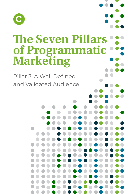

# **The Seven Pillars of Programmatic Marketing**

Pillar 3: A Well Defined and Validated Audience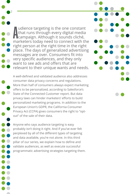Audience targeting is the one constant<br>that runs through every digital media<br>campaign. Although it sounds cliché, udience targeting is the one constant that runs through every digital media marketers today need to connect with the right person at the right time in the right place. The days of generalized advertising messages are over. Consumers fit into very specific audiences, and they only want to see ads and offers that are relevant to their unique wants and needs.

2

A well-defined and validated audience also addresses consumer data privacy concerns and regulations. More than half of consumers always expect marketing offers to be personalized, according to Salesforce's State of the Connected Customer report. But data privacy laws can hinder marketers' efforts to build personalized marketing programs. In addition to the European Union's GDPR, the California Consumer Privacy Act (CCPA) gives consumers the right to "optout" of the sale of their data.

Anyone who says audience targeting is easy probably isn't doing it right. And if you've ever felt perplexed by all of the different types of targeting and data available, you're not alone. In this third pillar of our series, we explain how to define and validate audiences, as well as execute successful programmatic advertising strategies targeting them.

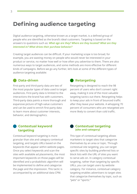## **Defining audience targeting**

Digital audience targeting, otherwise known as a target market, is a defined group of people who are identified as the brand's ideal customers. Targeting is based on the answers to questions such as: *What age are they? Where are they located? What are they interested in? What drives their purchase behavior?*

Creating target audiences can be difficult. If your marketing scope is too broad, for example, you are wasting money on people who would never be interested in your product or service, no matter how well or how often you advertise to them. There are also numerous ways to target audiences, and some methods are more effective for different kinds of campaigns. Before we go any further, let's look at some of the different types of audience targeting available:

#### **Data-driven**

First-party and third-party data are two of the most popular types of data used to target audiences. First-party data is limited to the interactions the brand has with customers. Third-party data paints a more thorough and expansive picture of high-value customers and can be used to enrich first-party data to learn more about customer interests, behavior, and demographics.

### **Retargeting**

Retargeting is designed to reach the 98 percent of users who don't convert right away, making it one of the most valuable targeting tactics out there. Retargeting helps to keep your ads in front of bounced traffic after they leave your website. A whopping 70 percent of consumers who are retargeted are more likely to convert than cold traffic.

#### **Contextual keyword targeting**

Contextual keyword targeting is more granular than site and category contextual targeting, and targets URLs based on the keywords that appear within website pages. Once you select keywords and scan the sites with available ad placements, the most important keywords on those pages will be identified and a probabilistic algorithm will be implemented to define and categorize the page and the impression. This tactic is accompanied by an additional data CPM.

#### **Contextual targeting (site and category)**

This type of contextual targeting allows marketers to target sites that categorize themselves by an area or topic. Through contextual site targeting, you can target specific sites by building preferred lists or block lists with the URL of sites you want to serve ads on. In category contextual targeting, rather than targeting by specific URLs, you can target users by website category. For instance, contextual category targeting enables advertisers to target sites that categorize themselves by topic, such as "pets" or "sports."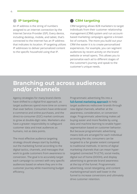#### **IP targeting**

An IP address is the string of numbers assigned to an internet connection by the Internet Service Provider (ISP). Every device, including desktop, mobile, and tablet, that's connected to the internet has an IP address that indicates its location. IP targeting utilizes IP addresses to deliver personalized content to the specific household using that IP.

#### **CRM targeting**

CRM targeting allows B2B marketers to target individuals from their customer relationship management (CRM) system and run accountbased marketing campaigns against a known list of contacts. The more you build out your CRM the easier it is to create personailized experiences. For example, you can segment audiences by recent activity on the brand website or email opens. This allows you to personalize each ad to different stages of the customer's journey and speak to the customer's unique needs.

## **Branching out across audiences and/or channels**

Agency strategies for many brand clients have shifted to a digital-first approach, as target audiences spend more time on screens than ever before. Consumers have embraced e-commerce and online purchases, and the direct-to-consumer (D2C) market continues to grow at double-digit rates. Marketers also have a greater responsibility to safeguard customer data and treat audiences as humans, not as data points.

The most effective audience targeting strategy should always start by building out the marketing funnel according to the digital tactics, channels, and messages that work to guide customers from awareness to conversion. The goal is to accurately target each campaign to connect with very specific audiences based on where they are in the customer journey while maximizing budget efficiency.

Programmatic advertising fits into a **[full-funnel marketing approach](https://choozle.com/wp-content/uploads/7PillarsCH1.pdf)** to help target audiences rediscover brands through new digital channels, whether at the awareness, consideration, or conversion stage. Programmatic advertising makes ad buying easier and more flexible by using data and machine learning to enable hypersegmentation based on customer behavior. But because programmatic advertising means bids are arranged for each individual accessing the site, consumers can be targeted to a far greater extent compared to traditional methods. In terms of digital marketing channels that can mean hypertargeted connected TV (CTV), social media, digital out of home (DOOH), and display advertising to generate brand awareness at the top of the funnel. Programmatic advertising, social retargeting, and content marketing/email work well lower in the funnel to increase conversions and ultimately drive customer retention.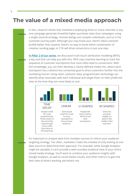## **The value of a mixed media approach**

In fact, research shows that marketers employing three or more channels in any one campaign generate threefold higher purchase rates than campaigns using a single channel strategy. Human beings are complex individuals, and so is the customer journey path. Although you may know your client's ideal customer profile better than anyone, there's no way to know which combination of creative, landing page, or CTA will drive conversions in just one step.

**[In Pillar 2 of our series](https://choozle.com/wp-content/uploads/7PillarsCH2.pdf)**, we discussed multi-touch attribution modeling (MTA), a key tool that can help you with this. MTA uses machine learning to track the sequence of customer touchpoints that most often lead to conversions. With this knowledge, you can then develop a clearly defined media mix, where each touchpoint has a distinct but connected goal to drive customers further into the marketing funnel. Using client customer data, programmatic technology can identify what resonates with each individual and target them on their preferred sites at the time they are most likely to visit.



It's important to analyze data from multiple sources to inform your audience targeting strategy. Too often, marketers make the mistake of only looking at one data source to determine their approach. For example, while Google Analytics might be valuable, it can't provide a well-rounded analytical view of your entire mixed media strategy. You'll want to combine your audience insights with Google Analytics, as well as social media results, and other metrics to gain the best view of what's working and what's not.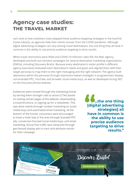## **Agency case studies: the travel market**

Let's look at how marketers have adapted these audience targeting strategies in the hard-hit travel industry, as agencies help their clients recover from the COVID pandemic. Although digital advertising strategies can vary among travel destinations, the one thing they all have in common is the ability to use precise audience targeting to drive results.

When travel restrictions were lifted and COVID-19 infection rates fell, the Relic Agency developed and built out recovery campaigns for several destination marketing organizations (DMOs), including Discovery Bristol. Because every destination's visitor profile is different, agency executives evaluated each destination's needs and goals and aligned them with their target personas to map them to the right messaging and the right network. The agency built awareness within the personas through impression-based strategies in programmatic display, non-branded PPC, YouTube, and broader social media buys, as well as developed strong SEO on the Discovery Bristol website.

Audiences were moved through the marketing funnel by serving them stronger calls to action (CTAs) based on visiting certain pages of the website, downloading a travel brochure, or signing up for a newsletter. This was done mainly through content marketing on social media buys and automated email marketing. At the bottom of the funnel, consumers were encouraged to book a hotel stay in the area through branded PPC ads, conversion-focused social media buys, and email marketing. Actual foot traffic was measured through geo-fenced display ads to track and attribute results for their campaign.

**...the one thing [digital advertising strategies] all have in common is the ability to use precise audience targeting to drive results." "**